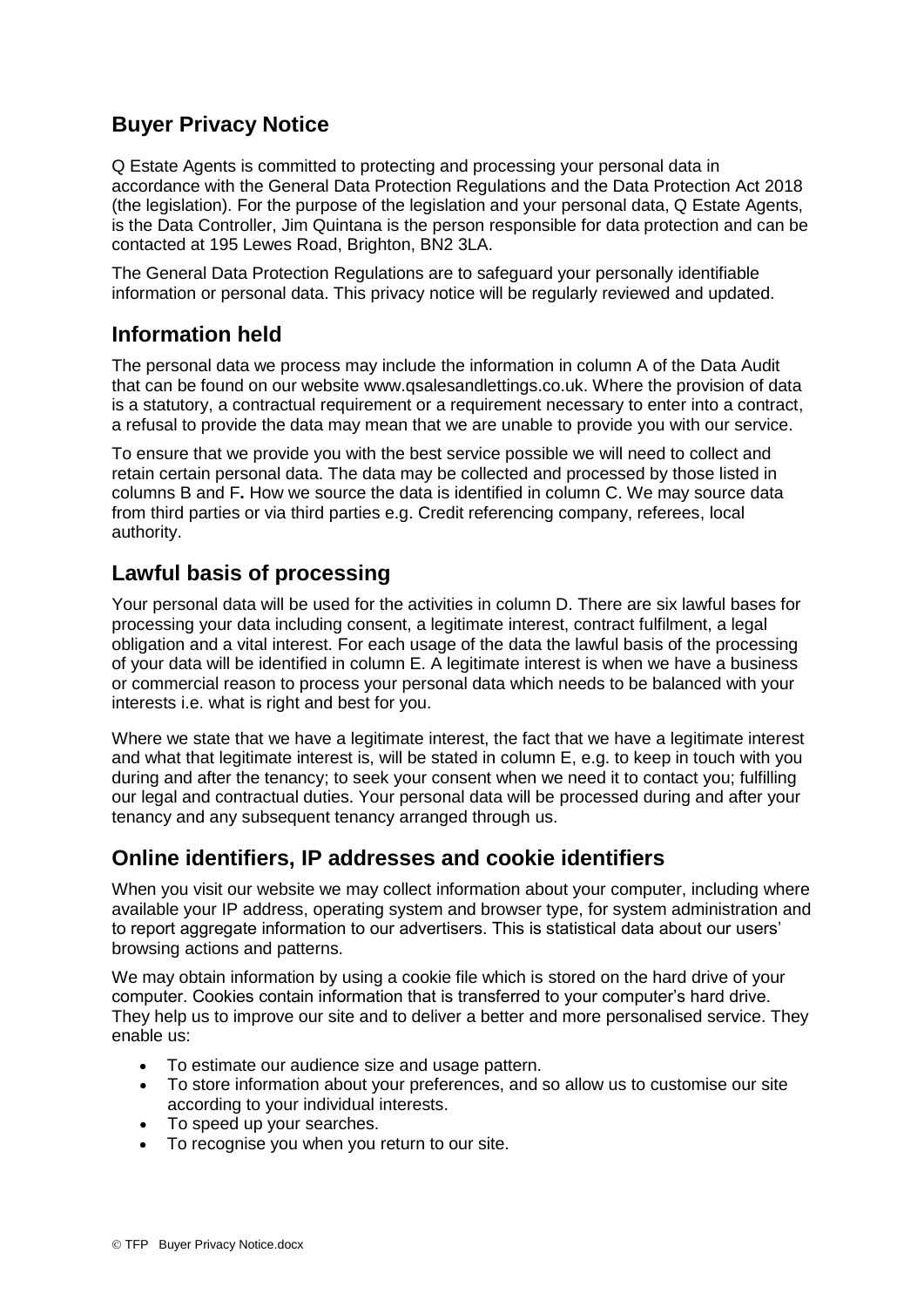# **Buyer Privacy Notice**

Q Estate Agents is committed to protecting and processing your personal data in accordance with the General Data Protection Regulations and the Data Protection Act 2018 (the legislation). For the purpose of the legislation and your personal data, Q Estate Agents, is the Data Controller, Jim Quintana is the person responsible for data protection and can be contacted at 195 Lewes Road, Brighton, BN2 3LA.

The General Data Protection Regulations are to safeguard your personally identifiable information or personal data. This privacy notice will be regularly reviewed and updated.

### **Information held**

The personal data we process may include the information in column A of the Data Audit that can be found on our website www.qsalesandlettings.co.uk. Where the provision of data is a statutory, a contractual requirement or a requirement necessary to enter into a contract, a refusal to provide the data may mean that we are unable to provide you with our service.

To ensure that we provide you with the best service possible we will need to collect and retain certain personal data. The data may be collected and processed by those listed in columns B and F**.** How we source the data is identified in column C. We may source data from third parties or via third parties e.g. Credit referencing company, referees, local authority.

## **Lawful basis of processing**

Your personal data will be used for the activities in column D. There are six lawful bases for processing your data including consent, a legitimate interest, contract fulfilment, a legal obligation and a vital interest. For each usage of the data the lawful basis of the processing of your data will be identified in column E. A legitimate interest is when we have a business or commercial reason to process your personal data which needs to be balanced with your interests i.e. what is right and best for you.

Where we state that we have a legitimate interest, the fact that we have a legitimate interest and what that legitimate interest is, will be stated in column E, e.g. to keep in touch with you during and after the tenancy; to seek your consent when we need it to contact you; fulfilling our legal and contractual duties. Your personal data will be processed during and after your tenancy and any subsequent tenancy arranged through us.

## **Online identifiers, IP addresses and cookie identifiers**

When you visit our website we may collect information about your computer, including where available your IP address, operating system and browser type, for system administration and to report aggregate information to our advertisers. This is statistical data about our users' browsing actions and patterns.

We may obtain information by using a cookie file which is stored on the hard drive of your computer. Cookies contain information that is transferred to your computer's hard drive. They help us to improve our site and to deliver a better and more personalised service. They enable us:

- To estimate our audience size and usage pattern.
- To store information about your preferences, and so allow us to customise our site according to your individual interests.
- To speed up your searches.
- To recognise you when you return to our site.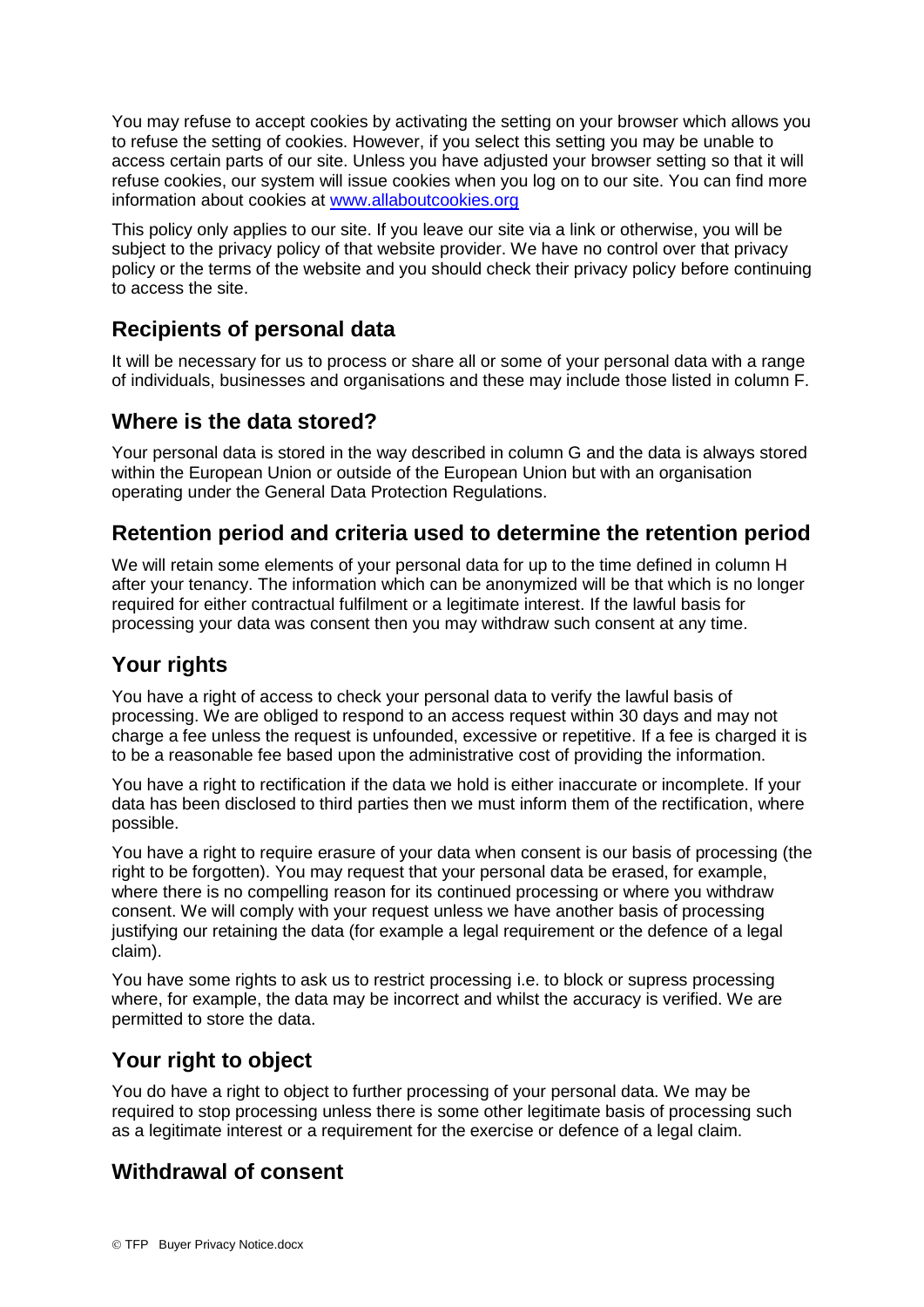You may refuse to accept cookies by activating the setting on your browser which allows you to refuse the setting of cookies. However, if you select this setting you may be unable to access certain parts of our site. Unless you have adjusted your browser setting so that it will refuse cookies, our system will issue cookies when you log on to our site. You can find more information about cookies at [www.allaboutcookies.org](http://www.allaboutcookies.org/)

This policy only applies to our site. If you leave our site via a link or otherwise, you will be subject to the privacy policy of that website provider. We have no control over that privacy policy or the terms of the website and you should check their privacy policy before continuing to access the site.

## **Recipients of personal data**

It will be necessary for us to process or share all or some of your personal data with a range of individuals, businesses and organisations and these may include those listed in column F.

## **Where is the data stored?**

Your personal data is stored in the way described in column G and the data is always stored within the European Union or outside of the European Union but with an organisation operating under the General Data Protection Regulations.

#### **Retention period and criteria used to determine the retention period**

We will retain some elements of your personal data for up to the time defined in column H after your tenancy. The information which can be anonymized will be that which is no longer required for either contractual fulfilment or a legitimate interest. If the lawful basis for processing your data was consent then you may withdraw such consent at any time.

## **Your rights**

You have a right of access to check your personal data to verify the lawful basis of processing. We are obliged to respond to an access request within 30 days and may not charge a fee unless the request is unfounded, excessive or repetitive. If a fee is charged it is to be a reasonable fee based upon the administrative cost of providing the information.

You have a right to rectification if the data we hold is either inaccurate or incomplete. If your data has been disclosed to third parties then we must inform them of the rectification, where possible.

You have a right to require erasure of your data when consent is our basis of processing (the right to be forgotten). You may request that your personal data be erased, for example, where there is no compelling reason for its continued processing or where you withdraw consent. We will comply with your request unless we have another basis of processing justifying our retaining the data (for example a legal requirement or the defence of a legal claim).

You have some rights to ask us to restrict processing i.e. to block or supress processing where, for example, the data may be incorrect and whilst the accuracy is verified. We are permitted to store the data.

#### **Your right to object**

You do have a right to object to further processing of your personal data. We may be required to stop processing unless there is some other legitimate basis of processing such as a legitimate interest or a requirement for the exercise or defence of a legal claim.

## **Withdrawal of consent**